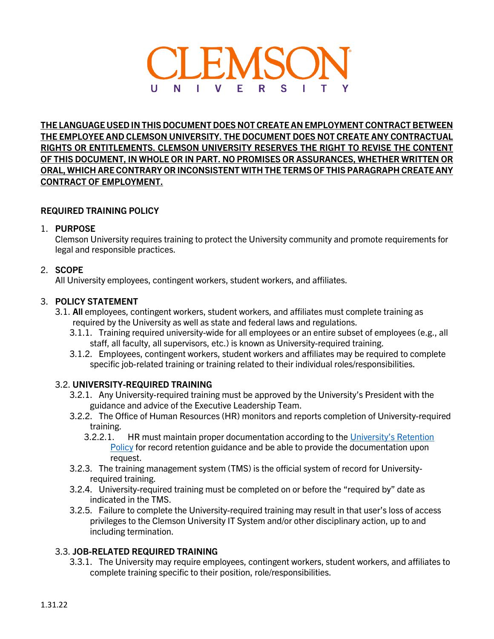

**THE LANGUAGE USED IN THIS DOCUMENT DOES NOT CREATE AN EMPLOYMENT CONTRACT BETWEEN THE EMPLOYEE AND CLEMSON UNIVERSITY. THE DOCUMENT DOES NOT CREATE ANY CONTRACTUAL RIGHTS OR ENTITLEMENTS. CLEMSON UNIVERSITY RESERVES THE RIGHT TO REVISE THE CONTENT OF THIS DOCUMENT, IN WHOLE OR IN PART. NO PROMISES OR ASSURANCES, WHETHER WRITTEN OR ORAL, WHICH ARE CONTRARY OR INCONSISTENT WITH THE TERMS OF THIS PARAGRAPH CREATE ANY CONTRACT OF EMPLOYMENT.**

## **REQUIRED TRAINING POLICY**

## 1. **PURPOSE**

Clemson University requires training to protect the University community and promote requirements for legal and responsible practices.

## 2. **SCOPE**

All University employees, contingent workers, student workers, and affiliates.

## 3. **POLICY STATEMENT**

- 3.1. **All** employees, contingent workers, student workers, and affiliates must complete training as required by the University as well as state and federal laws and regulations.
	- 3.1.1. Training required university-wide for all employees or an entire subset of employees (e.g., all staff, all faculty, all supervisors, etc.) is known as University-required training.
	- 3.1.2. Employees, contingent workers, student workers and affiliates may be required to complete specific job-related training or training related to their individual roles/responsibilities.

## 3.2. **UNIVERSITY-REQUIRED TRAINING**

- 3.2.1. Any University-required training must be approved by the University's President with the guidance and advice of the Executive Leadership Team.
- 3.2.2. The Office of Human Resources (HR) monitors and reports completion of University-required training.
	- 3.2.2.1. HR must maintain proper documentation according to the [University's Retention](https://libraries.clemson.edu/records-management/retention-schedules/)  [Policy](https://libraries.clemson.edu/records-management/retention-schedules/) for record retention guidance and be able to provide the documentation upon request.
- 3.2.3. The training management system (TMS) is the official system of record for Universityrequired training.
- 3.2.4. University-required training must be completed on or before the "required by" date as indicated in the TMS.
- 3.2.5. Failure to complete the University-required training may result in that user's loss of access privileges to the Clemson University IT System and/or other disciplinary action, up to and including termination.

## 3.3. **JOB-RELATED REQUIRED TRAINING**

3.3.1. The University may require employees, contingent workers, student workers, and affiliates to complete training specific to their position, role/responsibilities.